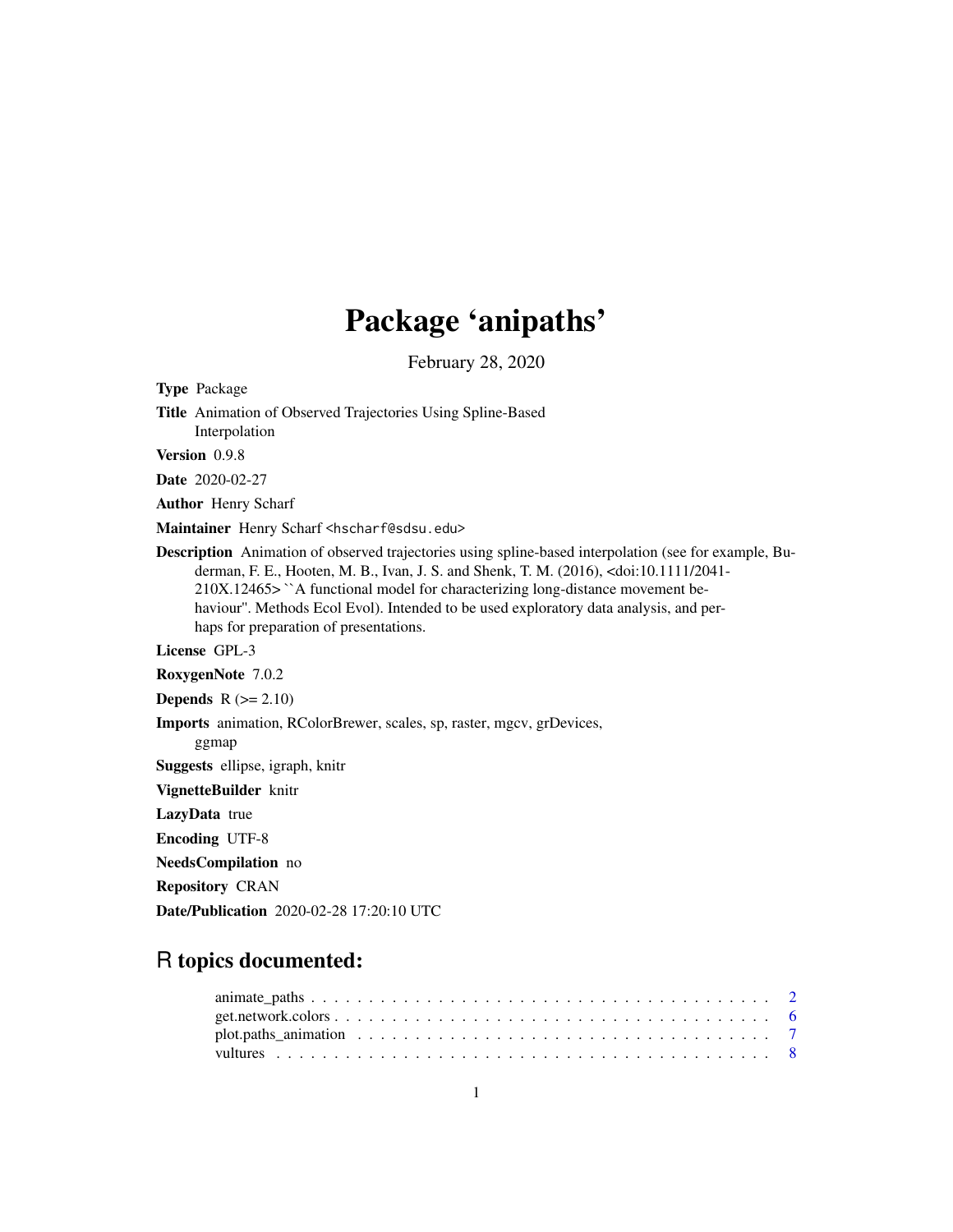## Package 'anipaths'

February 28, 2020

Type Package

Title Animation of Observed Trajectories Using Spline-Based Interpolation

Version 0.9.8

Date 2020-02-27

Author Henry Scharf

Maintainer Henry Scharf <hscharf@sdsu.edu>

Description Animation of observed trajectories using spline-based interpolation (see for example, Buderman, F. E., Hooten, M. B., Ivan, J. S. and Shenk, T. M. (2016), <doi:10.1111/2041- 210X.12465> ``A functional model for characterizing long-distance movement behaviour''. Methods Ecol Evol). Intended to be used exploratory data analysis, and perhaps for preparation of presentations.

License GPL-3

RoxygenNote 7.0.2

**Depends**  $R$  ( $>= 2.10$ )

Imports animation, RColorBrewer, scales, sp, raster, mgcv, grDevices,

ggmap

Suggests ellipse, igraph, knitr

VignetteBuilder knitr

LazyData true

Encoding UTF-8

NeedsCompilation no

Repository CRAN

Date/Publication 2020-02-28 17:20:10 UTC

### R topics documented: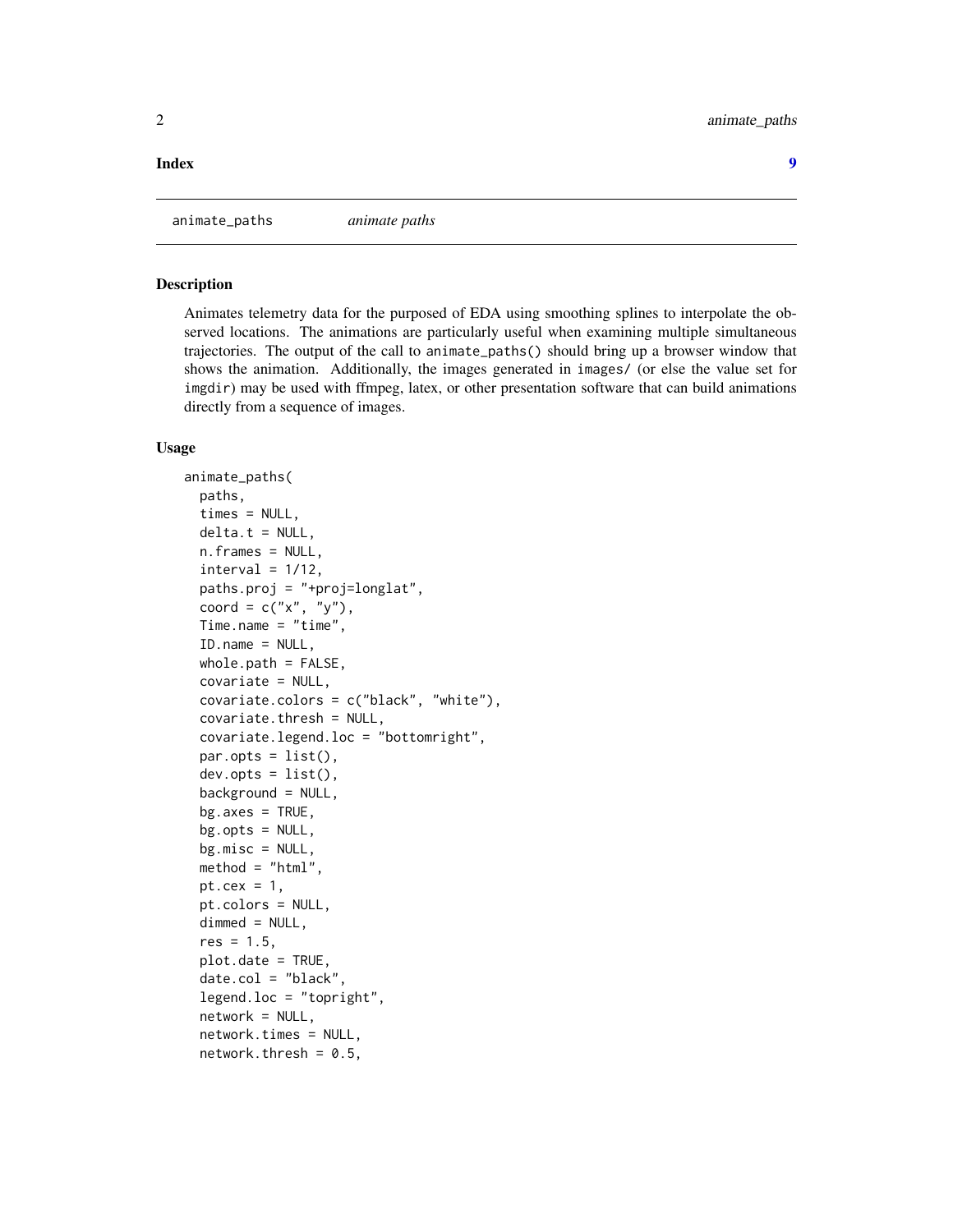#### <span id="page-1-0"></span>**Index** [9](#page-8-0)

animate\_paths *animate paths*

#### **Description**

Animates telemetry data for the purposed of EDA using smoothing splines to interpolate the observed locations. The animations are particularly useful when examining multiple simultaneous trajectories. The output of the call to animate\_paths() should bring up a browser window that shows the animation. Additionally, the images generated in images/ (or else the value set for imgdir) may be used with ffmpeg, latex, or other presentation software that can build animations directly from a sequence of images.

#### Usage

```
animate_paths(
 paths,
  times = NULL,
  delta.t = NULL,n.frames = NULL,
  interval = 1/12,
  paths.proj = "+proj=longlat",
  coord = c("x", "y"),
  Time.name = "time",
  ID.name = NULL,whole.path = FALSE,
  covariate = NULL,
  covariate.colors = c("black", "white"),
  covariate.thresh = NULL,
  covariate.legend.loc = "bottomright",
  par.opts = list(),
  dev.opts = list(),
  background = NULL,
  bg \cdot axes = TRUE,bg.opts = NULL,bg.misc = NULL,method = "html",pt.cex = 1,
  pt.colors = NULL,
  dimmed = NULL,
  res = 1.5,plot.date = TRUE,
  date,col = "black",legend.loc = "topright",
  network = NULL,
  network.times = NULL,
  network.thresh = 0.5,
```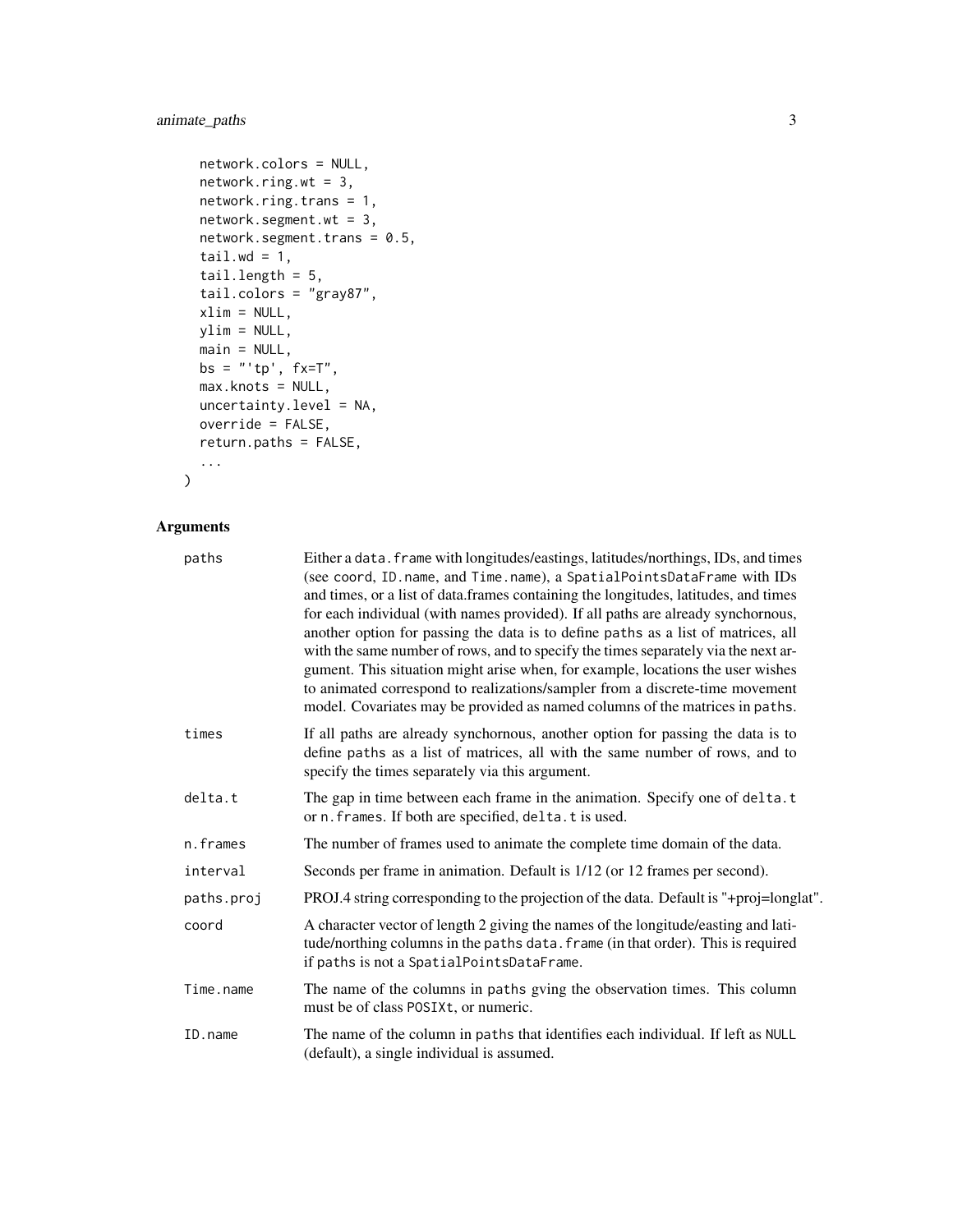#### animate\_paths 3

```
network.colors = NULL,
network.ring.wt = 3,
network.ring.trans = 1,
network.segment.wt = 3,
network.segment.trans = 0.5,
tail.wd = 1,tail.length = 5,
tail.colors = "gray87",
xlim = NULL,ylim = NULL,
main = NULL,bs = "'tp', fx=T",
max.knots = NULL,
uncertainty.level = NA,
override = FALSE,
return.paths = FALSE,
...
```
#### Arguments

 $\mathcal{L}$ 

| paths      | Either a data. frame with longitudes/eastings, latitudes/northings, IDs, and times<br>(see coord, ID. name, and Time. name), a SpatialPointsDataFrame with IDs<br>and times, or a list of data.frames containing the longitudes, latitudes, and times<br>for each individual (with names provided). If all paths are already synchornous,<br>another option for passing the data is to define paths as a list of matrices, all<br>with the same number of rows, and to specify the times separately via the next ar-<br>gument. This situation might arise when, for example, locations the user wishes<br>to animated correspond to realizations/sampler from a discrete-time movement<br>model. Covariates may be provided as named columns of the matrices in paths. |
|------------|-------------------------------------------------------------------------------------------------------------------------------------------------------------------------------------------------------------------------------------------------------------------------------------------------------------------------------------------------------------------------------------------------------------------------------------------------------------------------------------------------------------------------------------------------------------------------------------------------------------------------------------------------------------------------------------------------------------------------------------------------------------------------|
| times      | If all paths are already synchornous, another option for passing the data is to<br>define paths as a list of matrices, all with the same number of rows, and to<br>specify the times separately via this argument.                                                                                                                                                                                                                                                                                                                                                                                                                                                                                                                                                      |
| delta.t    | The gap in time between each frame in the animation. Specify one of delta.t<br>or n. frames. If both are specified, delta.t is used.                                                                                                                                                                                                                                                                                                                                                                                                                                                                                                                                                                                                                                    |
| n.frames   | The number of frames used to animate the complete time domain of the data.                                                                                                                                                                                                                                                                                                                                                                                                                                                                                                                                                                                                                                                                                              |
| interval   | Seconds per frame in animation. Default is $1/12$ (or 12 frames per second).                                                                                                                                                                                                                                                                                                                                                                                                                                                                                                                                                                                                                                                                                            |
| paths.proj | PROJ.4 string corresponding to the projection of the data. Default is "+proj=longlat".                                                                                                                                                                                                                                                                                                                                                                                                                                                                                                                                                                                                                                                                                  |
| coord      | A character vector of length 2 giving the names of the longitude/easting and lati-<br>tude/northing columns in the paths data. frame (in that order). This is required<br>if paths is not a SpatialPointsDataFrame.                                                                                                                                                                                                                                                                                                                                                                                                                                                                                                                                                     |
| Time.name  | The name of the columns in paths gving the observation times. This column<br>must be of class POSIXt, or numeric.                                                                                                                                                                                                                                                                                                                                                                                                                                                                                                                                                                                                                                                       |
| ID.name    | The name of the column in paths that identifies each individual. If left as NULL<br>(default), a single individual is assumed.                                                                                                                                                                                                                                                                                                                                                                                                                                                                                                                                                                                                                                          |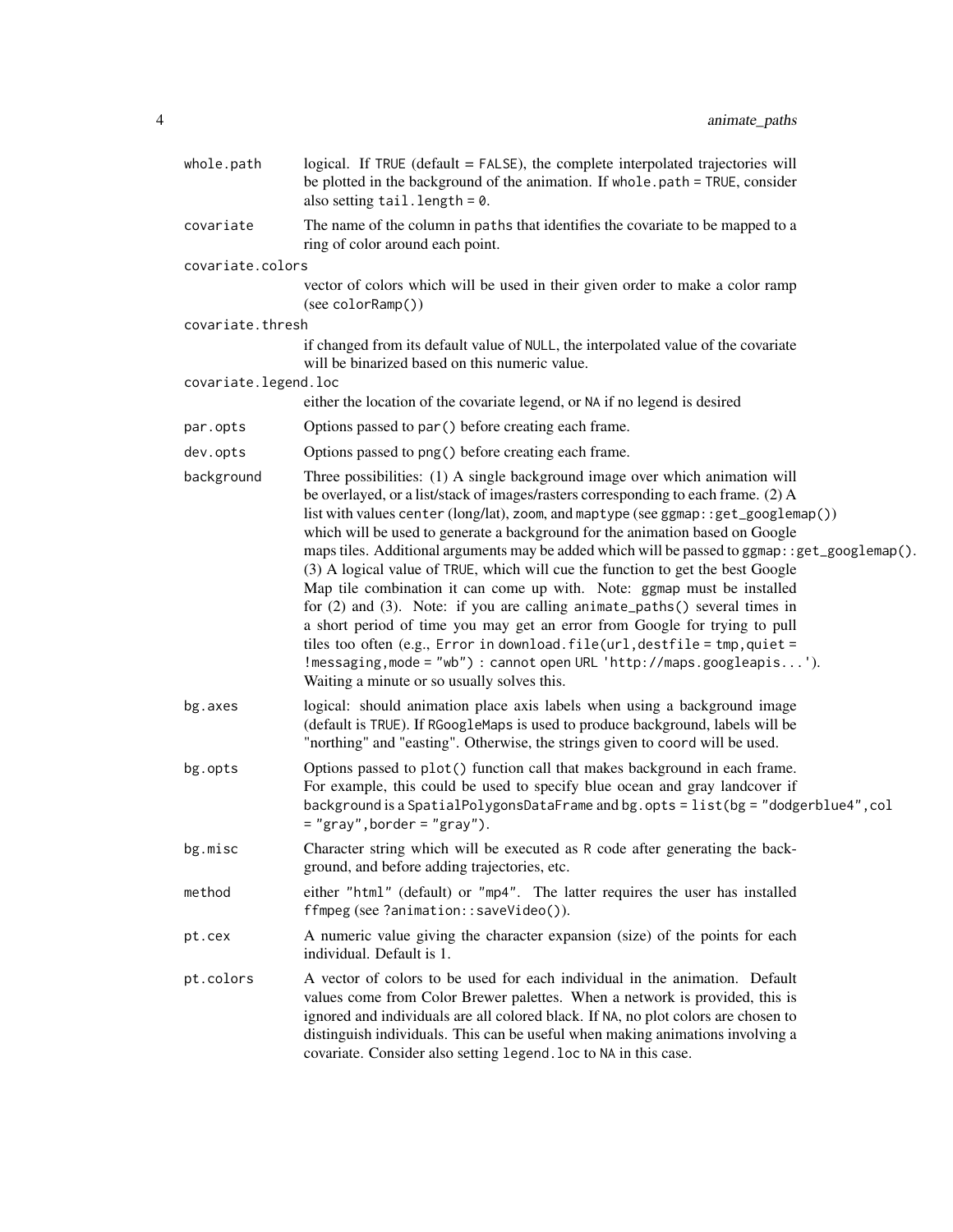| whole.path           | logical. If $TRUE$ (default = $FALSE$ ), the complete interpolated trajectories will<br>be plotted in the background of the animation. If whole path = TRUE, consider<br>also setting $tail.length = 0$ .                                                                                                                                                                                                                                                                                                                                                                                                                                                                                                                                                                                                                                                                                                                                                                            |
|----------------------|--------------------------------------------------------------------------------------------------------------------------------------------------------------------------------------------------------------------------------------------------------------------------------------------------------------------------------------------------------------------------------------------------------------------------------------------------------------------------------------------------------------------------------------------------------------------------------------------------------------------------------------------------------------------------------------------------------------------------------------------------------------------------------------------------------------------------------------------------------------------------------------------------------------------------------------------------------------------------------------|
| covariate            | The name of the column in paths that identifies the covariate to be mapped to a<br>ring of color around each point.                                                                                                                                                                                                                                                                                                                                                                                                                                                                                                                                                                                                                                                                                                                                                                                                                                                                  |
| covariate.colors     |                                                                                                                                                                                                                                                                                                                                                                                                                                                                                                                                                                                                                                                                                                                                                                                                                                                                                                                                                                                      |
|                      | vector of colors which will be used in their given order to make a color ramp<br>(see colorRamp())                                                                                                                                                                                                                                                                                                                                                                                                                                                                                                                                                                                                                                                                                                                                                                                                                                                                                   |
| covariate.thresh     |                                                                                                                                                                                                                                                                                                                                                                                                                                                                                                                                                                                                                                                                                                                                                                                                                                                                                                                                                                                      |
|                      | if changed from its default value of NULL, the interpolated value of the covariate<br>will be binarized based on this numeric value.                                                                                                                                                                                                                                                                                                                                                                                                                                                                                                                                                                                                                                                                                                                                                                                                                                                 |
| covariate.legend.loc | either the location of the covariate legend, or NA if no legend is desired                                                                                                                                                                                                                                                                                                                                                                                                                                                                                                                                                                                                                                                                                                                                                                                                                                                                                                           |
| par.opts             | Options passed to par () before creating each frame.                                                                                                                                                                                                                                                                                                                                                                                                                                                                                                                                                                                                                                                                                                                                                                                                                                                                                                                                 |
|                      |                                                                                                                                                                                                                                                                                                                                                                                                                                                                                                                                                                                                                                                                                                                                                                                                                                                                                                                                                                                      |
| dev.opts             | Options passed to png() before creating each frame.                                                                                                                                                                                                                                                                                                                                                                                                                                                                                                                                                                                                                                                                                                                                                                                                                                                                                                                                  |
| background           | Three possibilities: (1) A single background image over which animation will<br>be overlayed, or a list/stack of images/rasters corresponding to each frame. (2) A<br>list with values center (long/lat), zoom, and maptype (see ggmap::get_googlemap())<br>which will be used to generate a background for the animation based on Google<br>maps tiles. Additional arguments may be added which will be passed to ggmap: : get_googlemap().<br>(3) A logical value of TRUE, which will cue the function to get the best Google<br>Map tile combination it can come up with. Note: ggmap must be installed<br>for $(2)$ and $(3)$ . Note: if you are calling animate_paths $()$ several times in<br>a short period of time you may get an error from Google for trying to pull<br>tiles too often (e.g., Error in download.file(url, destfile = tmp, quiet =<br>!messaging, mode = "wb") : cannot open URL 'http://maps.googleapis').<br>Waiting a minute or so usually solves this. |
| bg.axes              | logical: should animation place axis labels when using a background image<br>(default is TRUE). If RGoogleMaps is used to produce background, labels will be<br>"northing" and "easting". Otherwise, the strings given to coord will be used.                                                                                                                                                                                                                                                                                                                                                                                                                                                                                                                                                                                                                                                                                                                                        |
| bg.opts              | Options passed to plot() function call that makes background in each frame.<br>For example, this could be used to specify blue ocean and gray landcover if<br>background is a SpatialPolygonsDataFrame and bg.opts = list(bg = "dodgerblue4", col<br>$=$ "gray", border = "gray").                                                                                                                                                                                                                                                                                                                                                                                                                                                                                                                                                                                                                                                                                                   |
| bg.misc              | Character string which will be executed as R code after generating the back-<br>ground, and before adding trajectories, etc.                                                                                                                                                                                                                                                                                                                                                                                                                                                                                                                                                                                                                                                                                                                                                                                                                                                         |
| method               | either "html" (default) or "mp4". The latter requires the user has installed<br>ffmpeg (see ?animation::saveVideo()).                                                                                                                                                                                                                                                                                                                                                                                                                                                                                                                                                                                                                                                                                                                                                                                                                                                                |
| pt.cex               | A numeric value giving the character expansion (size) of the points for each<br>individual. Default is 1.                                                                                                                                                                                                                                                                                                                                                                                                                                                                                                                                                                                                                                                                                                                                                                                                                                                                            |
| pt.colors            | A vector of colors to be used for each individual in the animation. Default<br>values come from Color Brewer palettes. When a network is provided, this is<br>ignored and individuals are all colored black. If NA, no plot colors are chosen to<br>distinguish individuals. This can be useful when making animations involving a<br>covariate. Consider also setting legend. loc to NA in this case.                                                                                                                                                                                                                                                                                                                                                                                                                                                                                                                                                                               |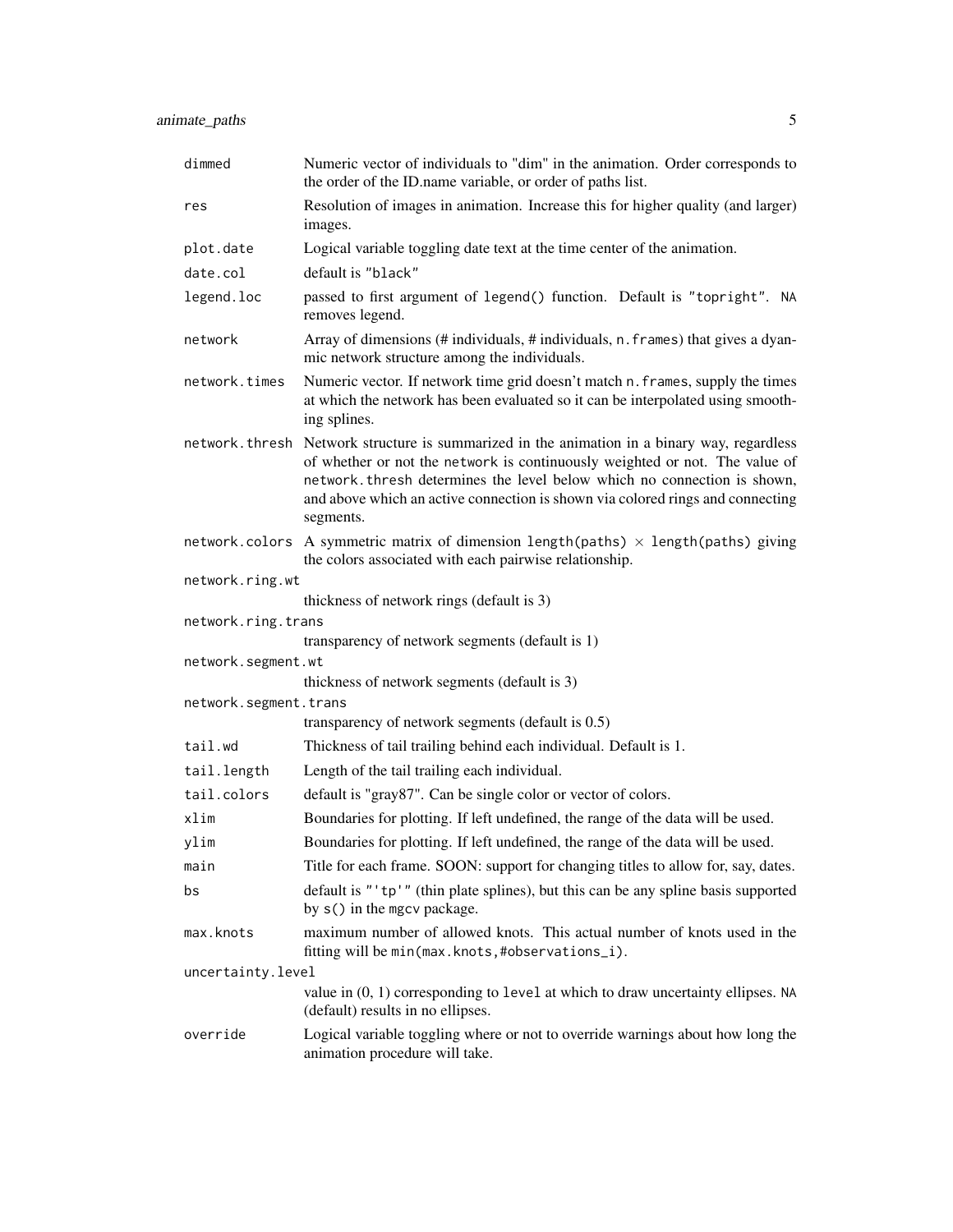| dimmed                | Numeric vector of individuals to "dim" in the animation. Order corresponds to<br>the order of the ID.name variable, or order of paths list.                                                                                                                                                                                                            |  |
|-----------------------|--------------------------------------------------------------------------------------------------------------------------------------------------------------------------------------------------------------------------------------------------------------------------------------------------------------------------------------------------------|--|
| res                   | Resolution of images in animation. Increase this for higher quality (and larger)<br>images.                                                                                                                                                                                                                                                            |  |
| plot.date             | Logical variable toggling date text at the time center of the animation.                                                                                                                                                                                                                                                                               |  |
| date.col              | default is "black"                                                                                                                                                                                                                                                                                                                                     |  |
| legend.loc            | passed to first argument of legend() function. Default is "topright". NA<br>removes legend.                                                                                                                                                                                                                                                            |  |
| network               | Array of dimensions (# individuals, # individuals, n. frames) that gives a dyan-<br>mic network structure among the individuals.                                                                                                                                                                                                                       |  |
| network.times         | Numeric vector. If network time grid doesn't match n. frames, supply the times<br>at which the network has been evaluated so it can be interpolated using smooth-<br>ing splines.                                                                                                                                                                      |  |
|                       | network. thresh Network structure is summarized in the animation in a binary way, regardless<br>of whether or not the network is continuously weighted or not. The value of<br>network. thresh determines the level below which no connection is shown,<br>and above which an active connection is shown via colored rings and connecting<br>segments. |  |
|                       | network.colors A symmetric matrix of dimension length(paths) $\times$ length(paths) giving<br>the colors associated with each pairwise relationship.                                                                                                                                                                                                   |  |
| network.ring.wt       |                                                                                                                                                                                                                                                                                                                                                        |  |
|                       | thickness of network rings (default is 3)                                                                                                                                                                                                                                                                                                              |  |
| network.ring.trans    |                                                                                                                                                                                                                                                                                                                                                        |  |
|                       | transparency of network segments (default is 1)                                                                                                                                                                                                                                                                                                        |  |
| network.segment.wt    | thickness of network segments (default is 3)                                                                                                                                                                                                                                                                                                           |  |
| network.segment.trans |                                                                                                                                                                                                                                                                                                                                                        |  |
|                       | transparency of network segments (default is 0.5)                                                                                                                                                                                                                                                                                                      |  |
| tail.wd               | Thickness of tail trailing behind each individual. Default is 1.                                                                                                                                                                                                                                                                                       |  |
| tail.length           | Length of the tail trailing each individual.                                                                                                                                                                                                                                                                                                           |  |
| tail.colors           | default is "gray87". Can be single color or vector of colors.                                                                                                                                                                                                                                                                                          |  |
| xlim                  | Boundaries for plotting. If left undefined, the range of the data will be used.                                                                                                                                                                                                                                                                        |  |
| ylim                  | Boundaries for plotting. If left undefined, the range of the data will be used.                                                                                                                                                                                                                                                                        |  |
| main                  | Title for each frame. SOON: support for changing titles to allow for, say, dates.                                                                                                                                                                                                                                                                      |  |
| bs                    | default is "'tp'" (thin plate splines), but this can be any spline basis supported<br>by s() in the mgcv package.                                                                                                                                                                                                                                      |  |
| max.knots             | maximum number of allowed knots. This actual number of knots used in the<br>fitting will be min(max.knots,#observations_i).                                                                                                                                                                                                                            |  |
| uncertainty.level     |                                                                                                                                                                                                                                                                                                                                                        |  |
|                       | value in $(0, 1)$ corresponding to level at which to draw uncertainty ellipses. NA<br>(default) results in no ellipses.                                                                                                                                                                                                                                |  |
| override              | Logical variable toggling where or not to override warnings about how long the<br>animation procedure will take.                                                                                                                                                                                                                                       |  |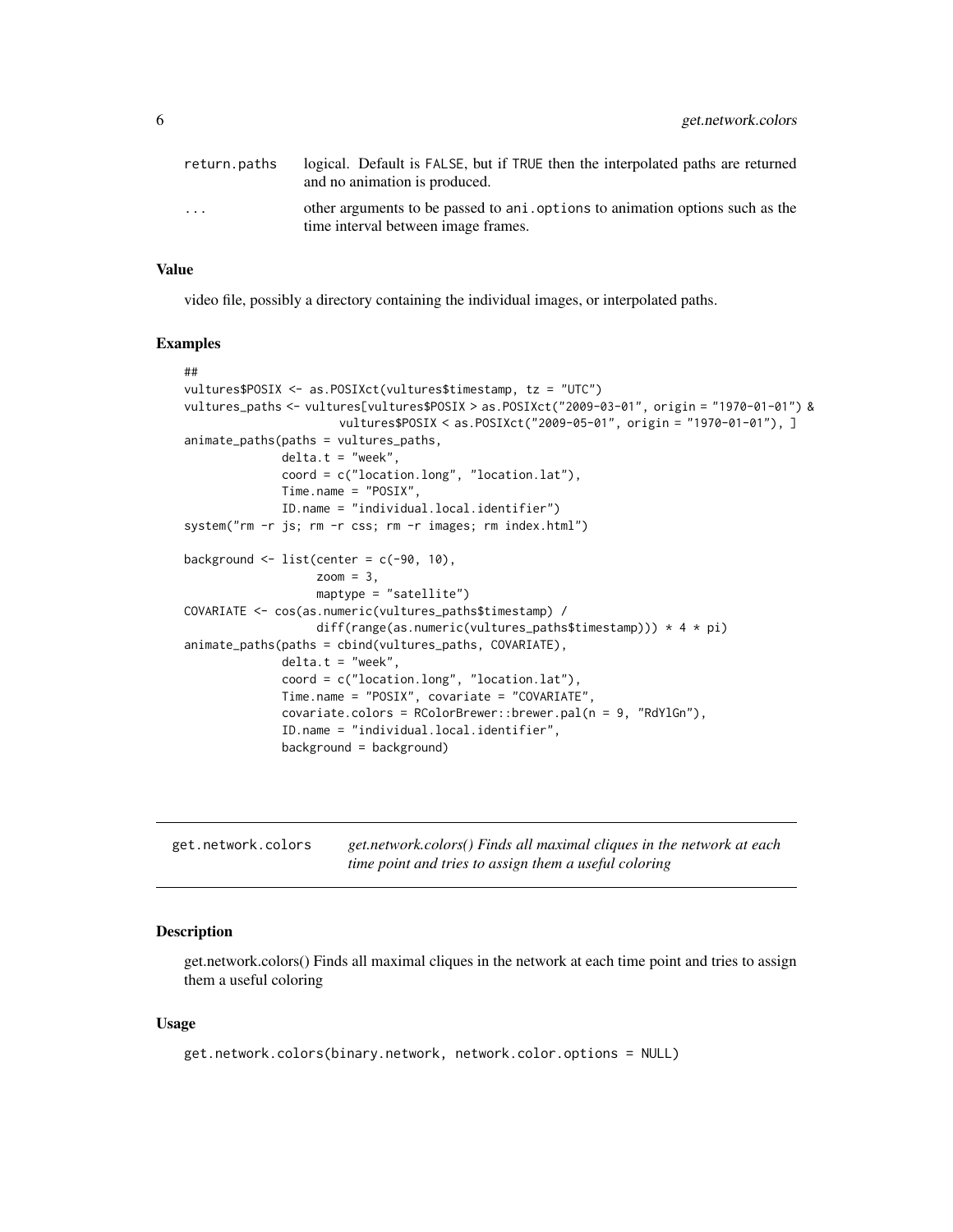<span id="page-5-0"></span>

| return.paths            | logical. Default is FALSE, but if TRUE then the interpolated paths are returned<br>and no animation is produced.     |
|-------------------------|----------------------------------------------------------------------------------------------------------------------|
| $\cdot$ $\cdot$ $\cdot$ | other arguments to be passed to ani. options to animation options such as the<br>time interval between image frames. |

#### Value

video file, possibly a directory containing the individual images, or interpolated paths.

#### Examples

```
##
vultures$POSIX <- as.POSIXct(vultures$timestamp, tz = "UTC")
vultures_paths <- vultures[vultures$POSIX > as.POSIXct("2009-03-01", origin = "1970-01-01") &
                      vultures$POSIX < as.POSIXct("2009-05-01", origin = "1970-01-01"), ]
animate_paths(paths = vultures_paths,
             delta.t = "week",coord = c("location.long", "location.lat"),
             Time.name = "POSIX",
             ID.name = "individual.local.identifier")
system("rm -r js; rm -r css; rm -r images; rm index.html")
background \leq 1ist(center = c(-90, 10),
                   zoom = 3,
                   maptype = "satellite")
COVARIATE <- cos(as.numeric(vultures_paths$timestamp) /
                  diff(range(as.numeric(vultures_paths$timestamp))) * 4 * pi)
animate_paths(paths = cbind(vultures_paths, COVARIATE),
             delta.t = "week".coord = c("location.long", "location.lat"),
             Time.name = "POSIX", covariate = "COVARIATE",
              covariate.colors = RColorBrewer::brewer.pal(n = 9, "RdYlGn"),
              ID.name = "individual.local.identifier",
              background = background)
```

| get.network.colors | get.network.colors() Finds all maximal cliques in the network at each |
|--------------------|-----------------------------------------------------------------------|
|                    | time point and tries to assign them a useful coloring                 |

#### Description

get.network.colors() Finds all maximal cliques in the network at each time point and tries to assign them a useful coloring

#### Usage

```
get.network.colors(binary.network, network.color.options = NULL)
```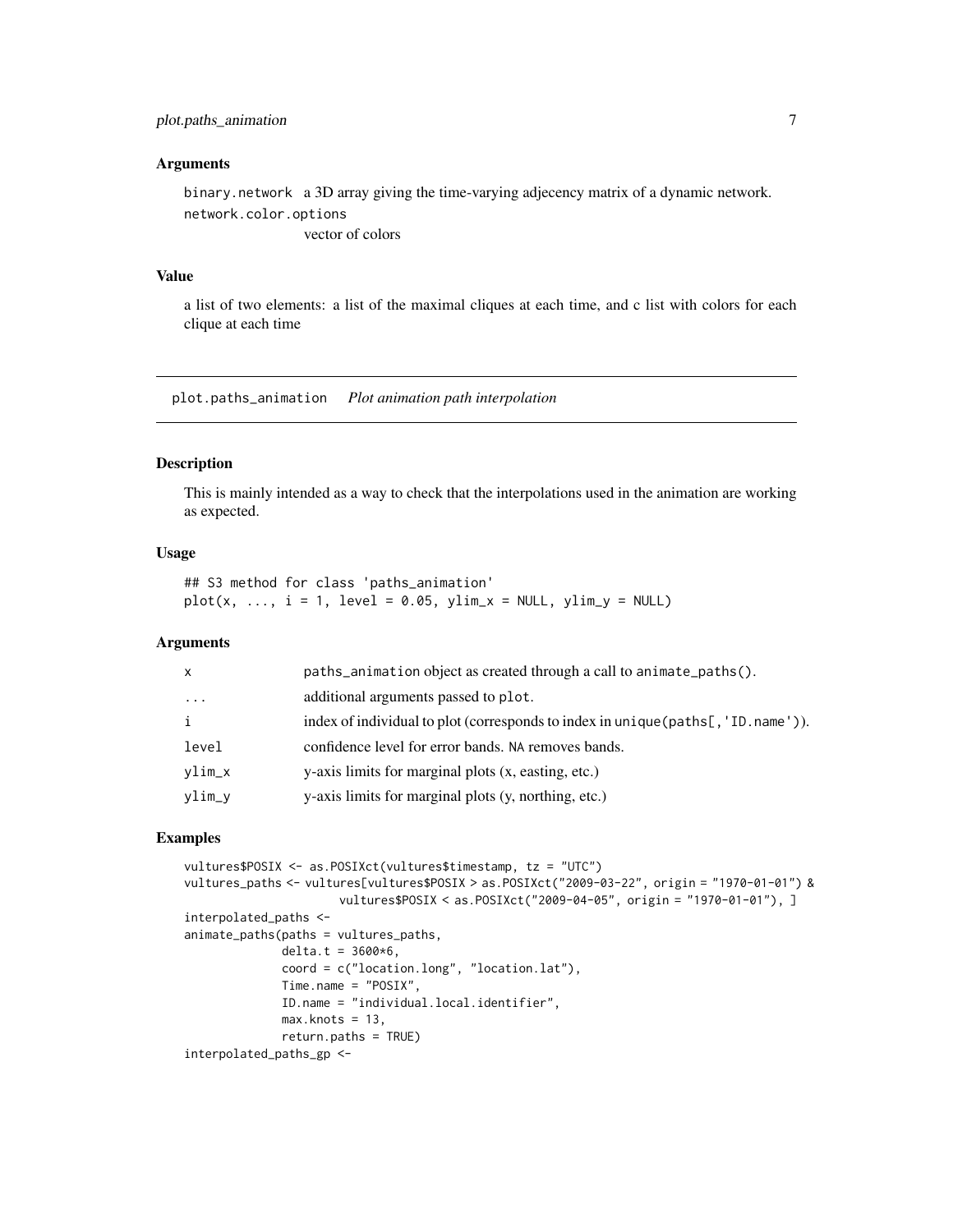#### <span id="page-6-0"></span>**Arguments**

binary.network a 3D array giving the time-varying adjecency matrix of a dynamic network. network.color.options vector of colors

#### Value

a list of two elements: a list of the maximal cliques at each time, and c list with colors for each clique at each time

plot.paths\_animation *Plot animation path interpolation*

#### Description

This is mainly intended as a way to check that the interpolations used in the animation are working as expected.

#### Usage

```
## S3 method for class 'paths_animation'
plot(x, ..., i = 1, level = 0.05, ylim_x = NULL, ylim_y = NULL)
```
#### Arguments

| $\mathsf{x}$ | paths_animation object as created through a call to animate_paths().                   |
|--------------|----------------------------------------------------------------------------------------|
| $\cdots$     | additional arguments passed to plot.                                                   |
| $\mathbf{i}$ | index of individual to plot (corresponds to index in unique (paths $[$ , 'ID. name')). |
| level        | confidence level for error bands. NA removes bands.                                    |
| ylim_x       | y-axis limits for marginal plots (x, easting, etc.)                                    |
| ylim_y       | y-axis limits for marginal plots (y, northing, etc.)                                   |
|              |                                                                                        |

#### Examples

```
vultures$POSIX <- as.POSIXct(vultures$timestamp, tz = "UTC")
vultures_paths <- vultures[vultures$POSIX > as.POSIXct("2009-03-22", origin = "1970-01-01") &
                      vultures$POSIX < as.POSIXct("2009-04-05", origin = "1970-01-01"), ]
interpolated_paths <-
animate_paths(paths = vultures_paths,
             delta.t = 3600*6,coord = c("location.long", "location.lat"),
             Time.name = "POSIX",
             ID.name = "individual.local.identifier",
             max.knots = 13,
             return.paths = TRUE)
interpolated_paths_gp <-
```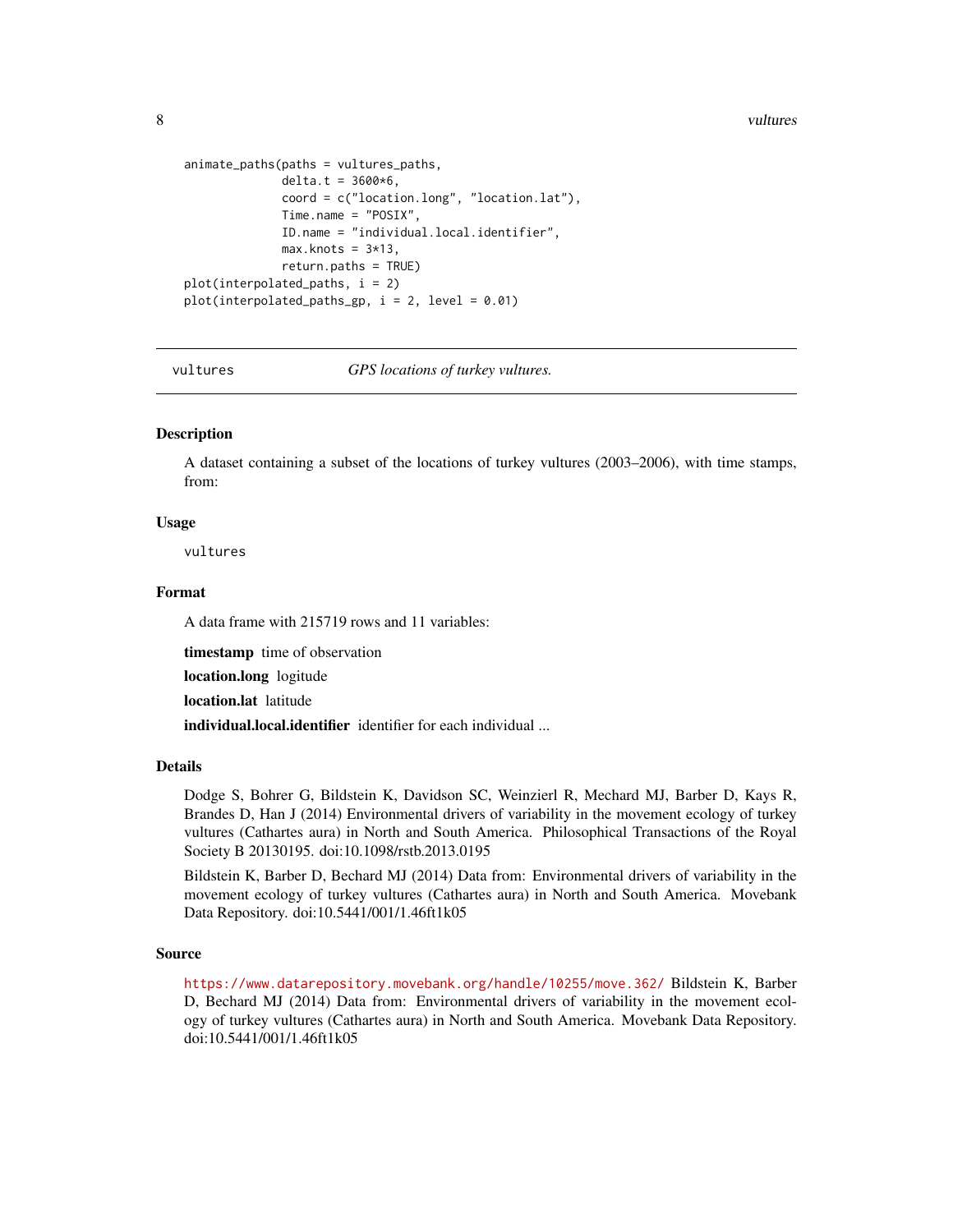<span id="page-7-0"></span>8 vultures and the contract of the contract of the contract of the contract of the contract of the contract of the contract of the contract of the contract of the contract of the contract of the contract of the contract of

```
animate_paths(paths = vultures_paths,
             delta.t = 3600*6,coord = c("location.long", "location.lat"),
             Time.name = "POSIX",
             ID.name = "individual.local.identifier",
             max.knots = 3*13,return.paths = TRUE)
plot(interpolated_paths, i = 2)
plot(interpolated_paths_gp, i = 2, level = 0.01)
```
vultures *GPS locations of turkey vultures.*

#### **Description**

A dataset containing a subset of the locations of turkey vultures (2003–2006), with time stamps, from:

#### Usage

vultures

#### Format

A data frame with 215719 rows and 11 variables:

timestamp time of observation

location.long logitude

location.lat latitude

individual.local.identifier identifier for each individual ...

#### Details

Dodge S, Bohrer G, Bildstein K, Davidson SC, Weinzierl R, Mechard MJ, Barber D, Kays R, Brandes D, Han J (2014) Environmental drivers of variability in the movement ecology of turkey vultures (Cathartes aura) in North and South America. Philosophical Transactions of the Royal Society B 20130195. doi:10.1098/rstb.2013.0195

Bildstein K, Barber D, Bechard MJ (2014) Data from: Environmental drivers of variability in the movement ecology of turkey vultures (Cathartes aura) in North and South America. Movebank Data Repository. doi:10.5441/001/1.46ft1k05

#### Source

<https://www.datarepository.movebank.org/handle/10255/move.362/> Bildstein K, Barber D, Bechard MJ (2014) Data from: Environmental drivers of variability in the movement ecology of turkey vultures (Cathartes aura) in North and South America. Movebank Data Repository. doi:10.5441/001/1.46ft1k05